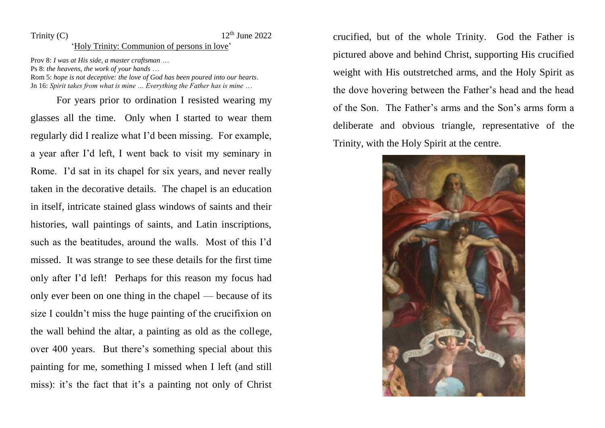## Trinity (C)  $12<sup>th</sup>$  June 2022

## 'Holy Trinity: Communion of persons in love'

Prov 8: *I was at His side, a master craftsman* …

Ps 8: *the heavens, the work of your hands* …

Rom 5: *hope is not deceptive: the love of God has been poured into our hearts*. Jn 16: *Spirit takes from what is mine … Everything the Father has is mine* …

For years prior to ordination I resisted wearing my glasses all the time. Only when I started to wear them regularly did I realize what I'd been missing. For example, a year after I'd left, I went back to visit my seminary in Rome. I'd sat in its chapel for six years, and never really taken in the decorative details. The chapel is an education in itself, intricate stained glass windows of saints and their histories, wall paintings of saints, and Latin inscriptions, such as the beatitudes, around the walls. Most of this I'd missed. It was strange to see these details for the first time only after I'd left! Perhaps for this reason my focus had only ever been on one thing in the chapel — because of its size I couldn't miss the huge painting of the crucifixion on the wall behind the altar, a painting as old as the college, over 400 years. But there's something special about this painting for me, something I missed when I left (and still miss): it's the fact that it's a painting not only of Christ crucified, but of the whole Trinity. God the Father is pictured above and behind Christ, supporting His crucified weight with His outstretched arms, and the Holy Spirit as the dove hovering between the Father's head and the head of the Son. The Father's arms and the Son's arms form a deliberate and obvious triangle, representative of the Trinity, with the Holy Spirit at the centre.

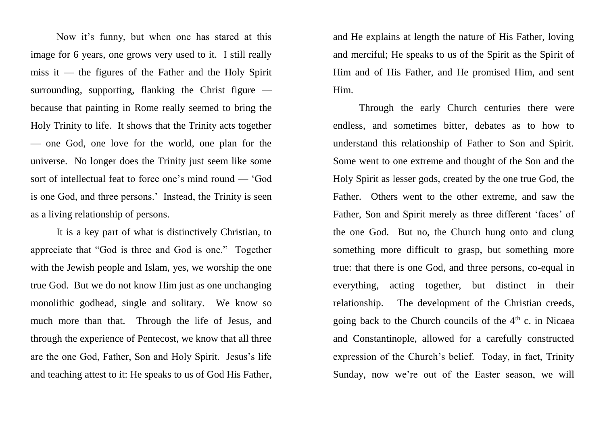Now it's funny, but when one has stared at this image for 6 years, one grows very used to it. I still really miss it — the figures of the Father and the Holy Spirit surrounding, supporting, flanking the Christ figure  $$ because that painting in Rome really seemed to bring the Holy Trinity to life. It shows that the Trinity acts together — one God, one love for the world, one plan for the universe. No longer does the Trinity just seem like some sort of intellectual feat to force one's mind round — 'God is one God, and three persons.' Instead, the Trinity is seen as a living relationship of persons.

It is a key part of what is distinctively Christian, to appreciate that "God is three and God is one." Together with the Jewish people and Islam, yes, we worship the one true God. But we do not know Him just as one unchanging monolithic godhead, single and solitary. We know so much more than that. Through the life of Jesus, and through the experience of Pentecost, we know that all three are the one God, Father, Son and Holy Spirit. Jesus's life and teaching attest to it: He speaks to us of God His Father,

and He explains at length the nature of His Father, loving and merciful; He speaks to us of the Spirit as the Spirit of Him and of His Father, and He promised Him, and sent Him.

Through the early Church centuries there were endless, and sometimes bitter, debates as to how to understand this relationship of Father to Son and Spirit. Some went to one extreme and thought of the Son and the Holy Spirit as lesser gods, created by the one true God, the Father. Others went to the other extreme, and saw the Father, Son and Spirit merely as three different 'faces' of the one God. But no, the Church hung onto and clung something more difficult to grasp, but something more true: that there is one God, and three persons, co-equal in everything, acting together, but distinct in their relationship. The development of the Christian creeds, going back to the Church councils of the  $4<sup>th</sup>$  c. in Nicaea and Constantinople, allowed for a carefully constructed expression of the Church's belief. Today, in fact, Trinity Sunday, now we're out of the Easter season, we will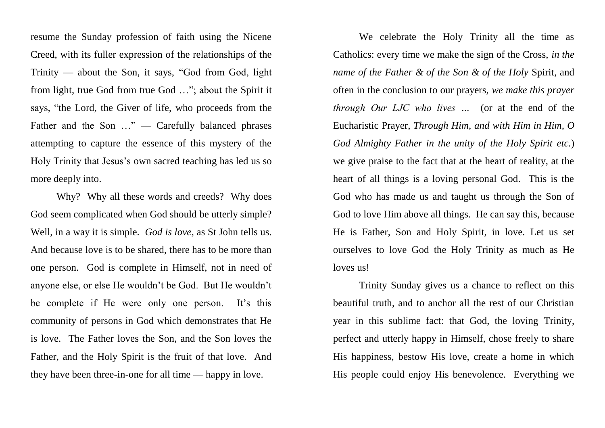resume the Sunday profession of faith using the Nicene Creed, with its fuller expression of the relationships of the  $Trinity$  — about the Son, it says, "God from God, light from light, true God from true God …"; about the Spirit it says, "the Lord, the Giver of life, who proceeds from the Father and the Son ..." — Carefully balanced phrases attempting to capture the essence of this mystery of the Holy Trinity that Jesus's own sacred teaching has led us so more deeply into.

Why? Why all these words and creeds? Why does God seem complicated when God should be utterly simple? Well, in a way it is simple. *God is love*, as St John tells us. And because love is to be shared, there has to be more than one person. God is complete in Himself, not in need of anyone else, or else He wouldn't be God. But He wouldn't be complete if He were only one person. It's this community of persons in God which demonstrates that He is love. The Father loves the Son, and the Son loves the Father, and the Holy Spirit is the fruit of that love. And they have been three-in-one for all time — happy in love.

We celebrate the Holy Trinity all the time as Catholics: every time we make the sign of the Cross, *in the name of the Father & of the Son & of the Holy* Spirit, and often in the conclusion to our prayers, *we make this prayer through Our LJC who lives …* (or at the end of the Eucharistic Prayer, *Through Him, and with Him in Him, O God Almighty Father in the unity of the Holy Spirit etc.*) we give praise to the fact that at the heart of reality, at the heart of all things is a loving personal God. This is the God who has made us and taught us through the Son of God to love Him above all things. He can say this, because He is Father, Son and Holy Spirit, in love. Let us set ourselves to love God the Holy Trinity as much as He loves us!

Trinity Sunday gives us a chance to reflect on this beautiful truth, and to anchor all the rest of our Christian year in this sublime fact: that God, the loving Trinity, perfect and utterly happy in Himself, chose freely to share His happiness, bestow His love, create a home in which His people could enjoy His benevolence. Everything we